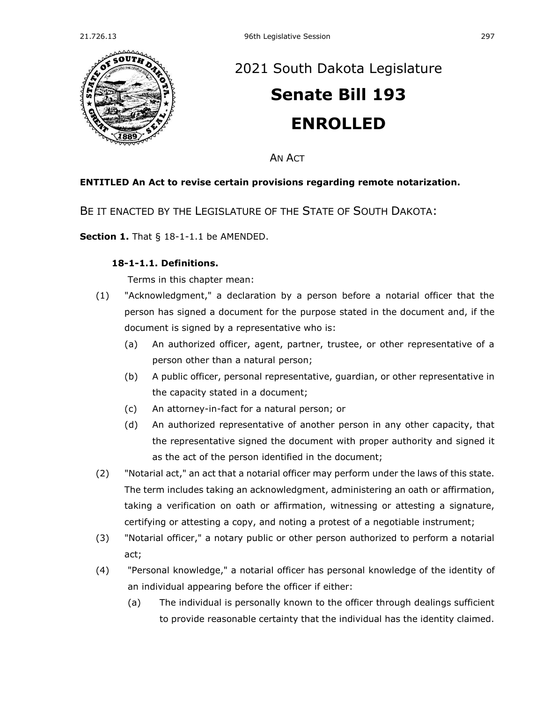

# [2021 South Dakota Legislature](https://sdlegislature.gov/Session/Bills/44) **[Senate Bill 193](https://sdlegislature.gov/Session/Bill/22446) ENROLLED**

AN ACT

## **ENTITLED An Act to revise certain provisions regarding remote notarization.**

BE IT ENACTED BY THE LEGISLATURE OF THE STATE OF SOUTH DAKOTA:

**Section 1.** [That § 18-1-1.1 be AMENDED.](https://sdlegislature.gov/Statutes/Codified_Laws/2045110)

### **[18-1-1.1. D](https://sdlegislature.gov/Statutes/Codified_Laws/DisplayStatute.aspx?Type=Statute&Statute=18-1-1.1)efinitions.**

Terms in this chapter mean:

- (1) "Acknowledgment," a declaration by a person before a notarial officer that the person has signed a document for the purpose stated in the document and, if the document is signed by a representative who is:
	- (a) An authorized officer, agent, partner, trustee, or other representative of a person other than a natural person;
	- (b) A public officer, personal representative, guardian, or other representative in the capacity stated in a document;
	- (c) An attorney-in-fact for a natural person; or
	- (d) An authorized representative of another person in any other capacity, that the representative signed the document with proper authority and signed it as the act of the person identified in the document;
- (2) "Notarial act," an act that a notarial officer may perform under the laws of this state. The term includes taking an acknowledgment, administering an oath or affirmation, taking a verification on oath or affirmation, witnessing or attesting a signature, certifying or attesting a copy, and noting a protest of a negotiable instrument;
- (3) "Notarial officer," a notary public or other person authorized to perform a notarial act;
- (4) "Personal knowledge," a notarial officer has personal knowledge of the identity of an individual appearing before the officer if either:
	- (a) The individual is personally known to the officer through dealings sufficient to provide reasonable certainty that the individual has the identity claimed.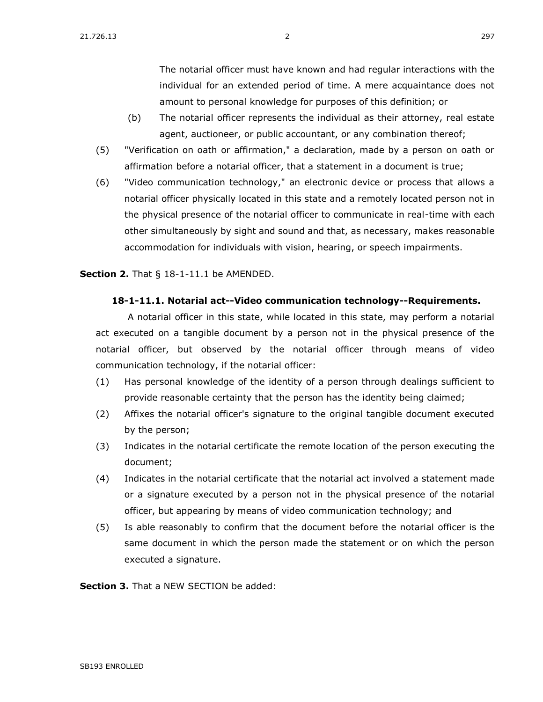The notarial officer must have known and had regular interactions with the individual for an extended period of time. A mere acquaintance does not amount to personal knowledge for purposes of this definition; or

- (b) The notarial officer represents the individual as their attorney, real estate agent, auctioneer, or public accountant, or any combination thereof;
- (5) "Verification on oath or affirmation," a declaration, made by a person on oath or affirmation before a notarial officer, that a statement in a document is true;
- (6) "Video communication technology," an electronic device or process that allows a notarial officer physically located in this state and a remotely located person not in the physical presence of the notarial officer to communicate in real-time with each other simultaneously by sight and sound and that, as necessary, makes reasonable accommodation for individuals with vision, hearing, or speech impairments.

#### **Section 2.** [That § 18-1-11.1 be AMENDED.](https://sdlegislature.gov/Statutes/Codified_Laws/2045121)

#### **[18-1-11.1. N](https://sdlegislature.gov/Statutes/Codified_Laws/DisplayStatute.aspx?Type=Statute&Statute=18-1-11.1)otarial act--Video communication technology--Requirements.**

A notarial officer in this state, while located in this state, may perform a notarial act executed on a tangible document by a person not in the physical presence of the notarial officer, but observed by the notarial officer through means of video communication technology, if the notarial officer:

- (1) Has personal knowledge of the identity of a person through dealings sufficient to provide reasonable certainty that the person has the identity being claimed;
- (2) Affixes the notarial officer's signature to the original tangible document executed by the person;
- (3) Indicates in the notarial certificate the remote location of the person executing the document;
- (4) Indicates in the notarial certificate that the notarial act involved a statement made or a signature executed by a person not in the physical presence of the notarial officer, but appearing by means of video communication technology; and
- (5) Is able reasonably to confirm that the document before the notarial officer is the same document in which the person made the statement or on which the person executed a signature.

**Section 3.** That a NEW SECTION be added: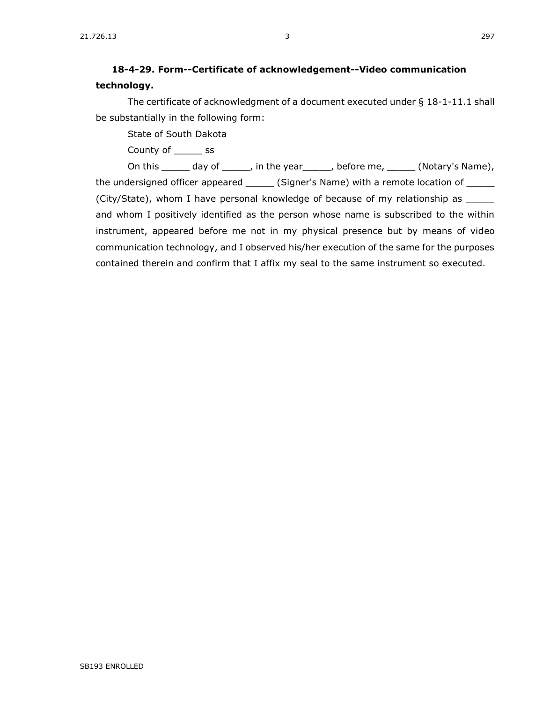# **18-4-29. Form--Certificate of acknowledgement--Video communication technology.**

The certificate of acknowledgment of a document executed under § [18-1-11.1](https://sdlegislature.gov/Statutes/Codified_Laws/DisplayStatute.aspx?Type=Statute&Statute=18-1-11.1) shall be substantially in the following form:

State of South Dakota

County of \_\_\_\_\_ ss

On this \_\_\_\_\_ day of \_\_\_\_\_, in the year\_\_\_\_\_, before me, \_\_\_\_\_ (Notary's Name), the undersigned officer appeared \_\_\_\_\_\_ (Signer's Name) with a remote location of \_\_\_\_\_ (City/State), whom I have personal knowledge of because of my relationship as \_\_\_\_\_ and whom I positively identified as the person whose name is subscribed to the within instrument, appeared before me not in my physical presence but by means of video communication technology, and I observed his/her execution of the same for the purposes contained therein and confirm that I affix my seal to the same instrument so executed.